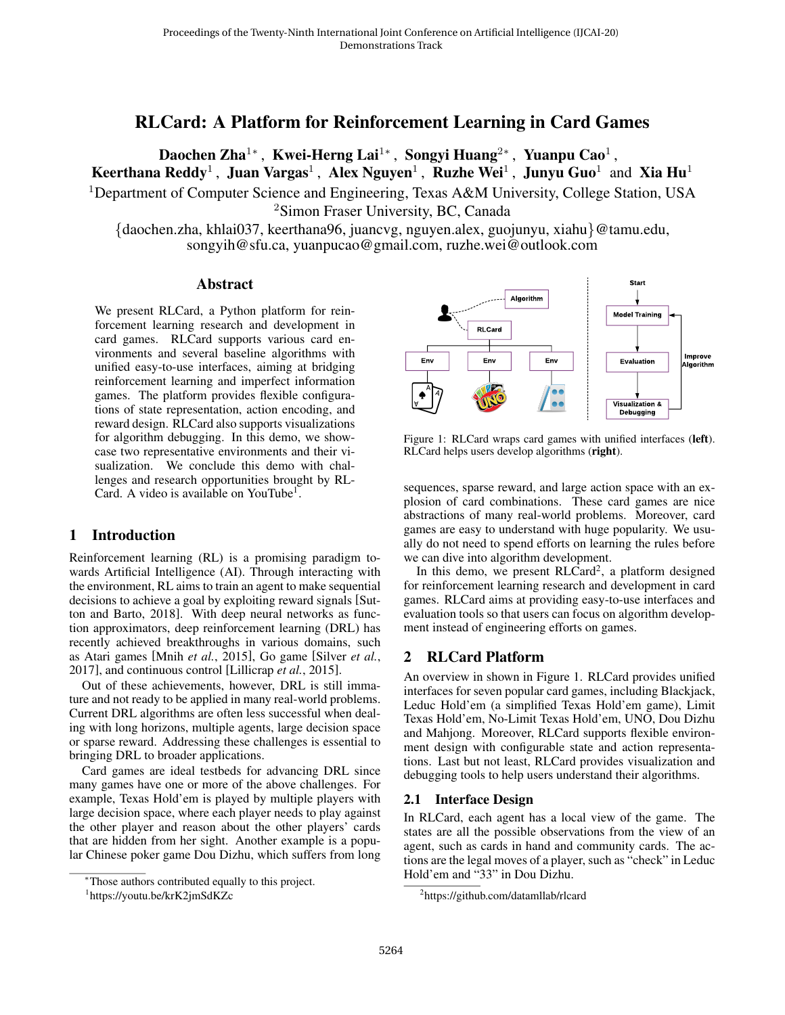# RLCard: A Platform for Reinforcement Learning in Card Games

Daochen Zha $^{1*}$ , Kwei-Herng Lai $^{1*}$ , Songyi Huang $^{2*}$ , Yuanpu Cao $^{1}$ , Keerthana Reddy<sup>1</sup>, Juan Vargas<sup>1</sup>, Alex Nguyen<sup>1</sup>, Ruzhe Wei<sup>1</sup>, Junyu Guo<sup>1</sup> and Xia Hu<sup>1</sup> <sup>1</sup>Department of Computer Science and Engineering, Texas A&M University, College Station, USA <sup>2</sup>Simon Fraser University, BC, Canada

{daochen.zha, khlai037, keerthana96, juancvg, nguyen.alex, guojunyu, xiahu}@tamu.edu, songyih@sfu.ca, yuanpucao@gmail.com, ruzhe.wei@outlook.com

#### Abstract

We present RLCard, a Python platform for reinforcement learning research and development in card games. RLCard supports various card environments and several baseline algorithms with unified easy-to-use interfaces, aiming at bridging reinforcement learning and imperfect information games. The platform provides flexible configurations of state representation, action encoding, and reward design. RLCard also supports visualizations for algorithm debugging. In this demo, we showcase two representative environments and their visualization. We conclude this demo with challenges and research opportunities brought by RL-Card. A video is available on YouTube<sup>1</sup>.

### 1 Introduction

Reinforcement learning (RL) is a promising paradigm towards Artificial Intelligence (AI). Through interacting with the environment, RL aims to train an agent to make sequential decisions to achieve a goal by exploiting reward signals [Sutton and Barto, 2018]. With deep neural networks as function approximators, deep reinforcement learning (DRL) has recently achieved breakthroughs in various domains, such as Atari games [Mnih *et al.*, 2015], Go game [Silver *et al.*, 2017], and continuous control [Lillicrap *et al.*, 2015].

Out of these achievements, however, DRL is still immature and not ready to be applied in many real-world problems. Current DRL algorithms are often less successful when dealing with long horizons, multiple agents, large decision space or sparse reward. Addressing these challenges is essential to bringing DRL to broader applications.

Card games are ideal testbeds for advancing DRL since many games have one or more of the above challenges. For example, Texas Hold'em is played by multiple players with large decision space, where each player needs to play against the other player and reason about the other players' cards that are hidden from her sight. Another example is a popular Chinese poker game Dou Dizhu, which suffers from long



Figure 1: RLCard wraps card games with unified interfaces (left). RLCard helps users develop algorithms (right).

sequences, sparse reward, and large action space with an explosion of card combinations. These card games are nice abstractions of many real-world problems. Moreover, card games are easy to understand with huge popularity. We usually do not need to spend efforts on learning the rules before we can dive into algorithm development.

In this demo, we present RLCard<sup>2</sup>, a platform designed for reinforcement learning research and development in card games. RLCard aims at providing easy-to-use interfaces and evaluation tools so that users can focus on algorithm development instead of engineering efforts on games.

## 2 RLCard Platform

An overview in shown in Figure 1. RLCard provides unified interfaces for seven popular card games, including Blackjack, Leduc Hold'em (a simplified Texas Hold'em game), Limit Texas Hold'em, No-Limit Texas Hold'em, UNO, Dou Dizhu and Mahjong. Moreover, RLCard supports flexible environment design with configurable state and action representations. Last but not least, RLCard provides visualization and debugging tools to help users understand their algorithms.

### 2.1 Interface Design

In RLCard, each agent has a local view of the game. The states are all the possible observations from the view of an agent, such as cards in hand and community cards. The actions are the legal moves of a player, such as "check" in Leduc Hold'em and "33" in Dou Dizhu.

<sup>∗</sup>Those authors contributed equally to this project.

<sup>1</sup> https://youtu.be/krK2jmSdKZc

<sup>2</sup> https://github.com/datamllab/rlcard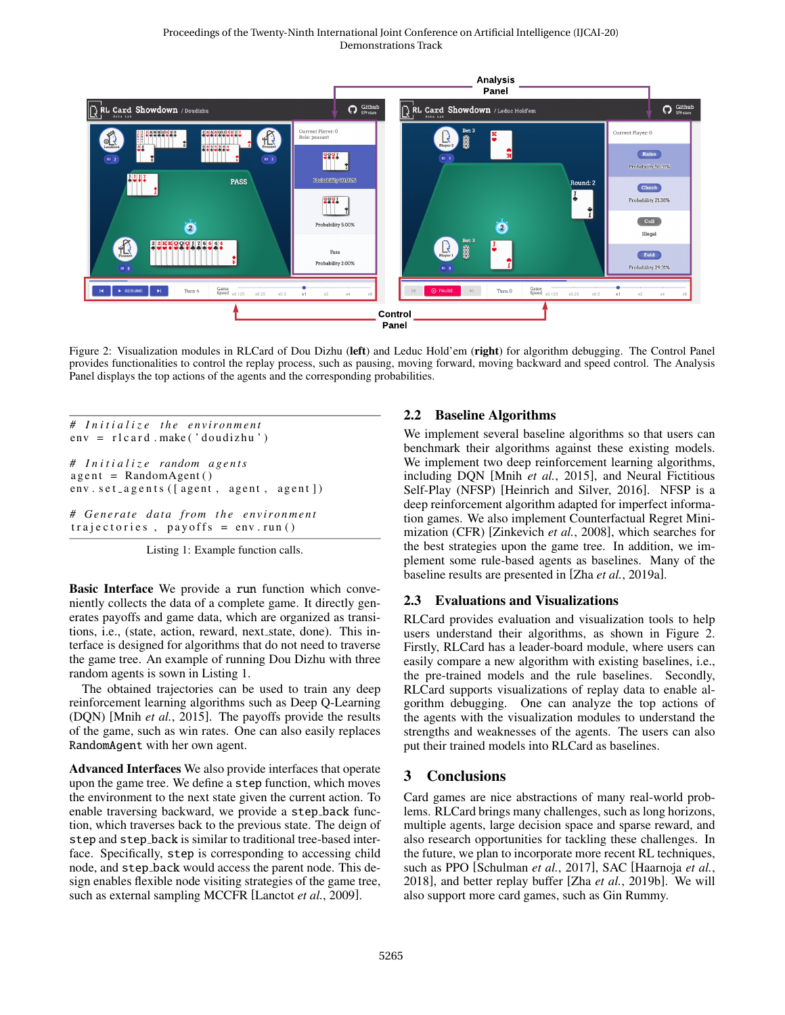

Figure 2: Visualization modules in RLCard of Dou Dizhu (left) and Leduc Hold'em (right) for algorithm debugging. The Control Panel provides functionalities to control the replay process, such as pausing, moving forward, moving backward and speed control. The Analysis Panel displays the top actions of the agents and the corresponding probabilities.

```
<i>Initialize the environment
env = r1c ard . make ('doudizhu')
# I n i t i a l i z e random a g e n t s
agent = RandomAgent()env. set agents ([agent, agent, agent])
# Generate data from the environment
trajectories, payoffs = env.run()
```
Listing 1: Example function calls.

Basic Interface We provide a run function which conveniently collects the data of a complete game. It directly generates payoffs and game data, which are organized as transitions, i.e., (state, action, reward, next state, done). This interface is designed for algorithms that do not need to traverse the game tree. An example of running Dou Dizhu with three random agents is sown in Listing 1.

The obtained trajectories can be used to train any deep reinforcement learning algorithms such as Deep Q-Learning (DQN) [Mnih *et al.*, 2015]. The payoffs provide the results of the game, such as win rates. One can also easily replaces RandomAgent with her own agent.

Advanced Interfaces We also provide interfaces that operate upon the game tree. We define a step function, which moves the environment to the next state given the current action. To enable traversing backward, we provide a step back function, which traverses back to the previous state. The deign of step and step back is similar to traditional tree-based interface. Specifically, step is corresponding to accessing child node, and step back would access the parent node. This design enables flexible node visiting strategies of the game tree, such as external sampling MCCFR [Lanctot *et al.*, 2009].

### 2.2 Baseline Algorithms

We implement several baseline algorithms so that users can benchmark their algorithms against these existing models. We implement two deep reinforcement learning algorithms, including DQN [Mnih *et al.*, 2015], and Neural Fictitious Self-Play (NFSP) [Heinrich and Silver, 2016]. NFSP is a deep reinforcement algorithm adapted for imperfect information games. We also implement Counterfactual Regret Minimization (CFR) [Zinkevich *et al.*, 2008], which searches for the best strategies upon the game tree. In addition, we implement some rule-based agents as baselines. Many of the baseline results are presented in [Zha *et al.*, 2019a].

### 2.3 Evaluations and Visualizations

RLCard provides evaluation and visualization tools to help users understand their algorithms, as shown in Figure 2. Firstly, RLCard has a leader-board module, where users can easily compare a new algorithm with existing baselines, i.e., the pre-trained models and the rule baselines. Secondly, RLCard supports visualizations of replay data to enable algorithm debugging. One can analyze the top actions of the agents with the visualization modules to understand the strengths and weaknesses of the agents. The users can also put their trained models into RLCard as baselines.

## 3 Conclusions

Card games are nice abstractions of many real-world problems. RLCard brings many challenges, such as long horizons, multiple agents, large decision space and sparse reward, and also research opportunities for tackling these challenges. In the future, we plan to incorporate more recent RL techniques, such as PPO [Schulman *et al.*, 2017], SAC [Haarnoja *et al.*, 2018], and better replay buffer [Zha *et al.*, 2019b]. We will also support more card games, such as Gin Rummy.